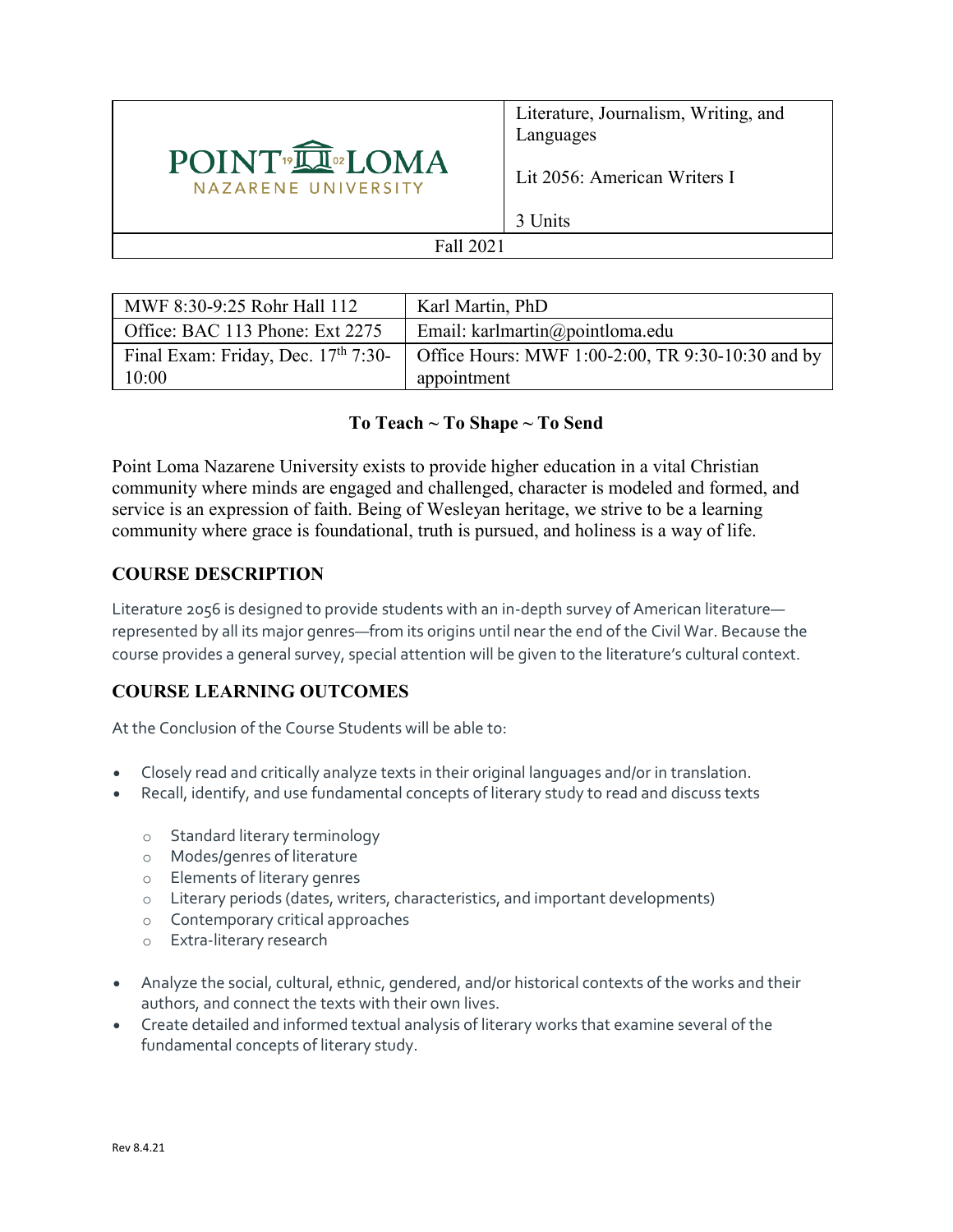

Literature, Journalism, Writing, and Languages

Lit 2056: American Writers I

3 Units

### Fall 2021

| MWF 8:30-9:25 Rohr Hall 112                     | Karl Martin, PhD                                  |
|-------------------------------------------------|---------------------------------------------------|
| Office: BAC 113 Phone: Ext 2275                 | Email: karlmartin@pointloma.edu                   |
| Final Exam: Friday, Dec. 17 <sup>th</sup> 7:30- | Office Hours: MWF 1:00-2:00, TR 9:30-10:30 and by |
| 10:00                                           | appointment                                       |

### **To Teach ~ To Shape ~ To Send**

Point Loma Nazarene University exists to provide higher education in a vital Christian community where minds are engaged and challenged, character is modeled and formed, and service is an expression of faith. Being of Wesleyan heritage, we strive to be a learning community where grace is foundational, truth is pursued, and holiness is a way of life.

# **COURSE DESCRIPTION**

Literature 2056 is designed to provide students with an in-depth survey of American literature represented by all its major genres—from its origins until near the end of the Civil War. Because the course provides a general survey, special attention will be given to the literature's cultural context.

# **COURSE LEARNING OUTCOMES**

At the Conclusion of the Course Students will be able to:

- Closely read and critically analyze texts in their original languages and/or in translation.
- Recall, identify, and use fundamental concepts of literary study to read and discuss texts
	- o Standard literary terminology
	- o Modes/genres of literature
	- o Elements of literary genres
	- o Literary periods (dates, writers, characteristics, and important developments)
	- o Contemporary critical approaches
	- o Extra-literary research
- Analyze the social, cultural, ethnic, gendered, and/or historical contexts of the works and their authors, and connect the texts with their own lives.
- Create detailed and informed textual analysis of literary works that examine several of the fundamental concepts of literary study.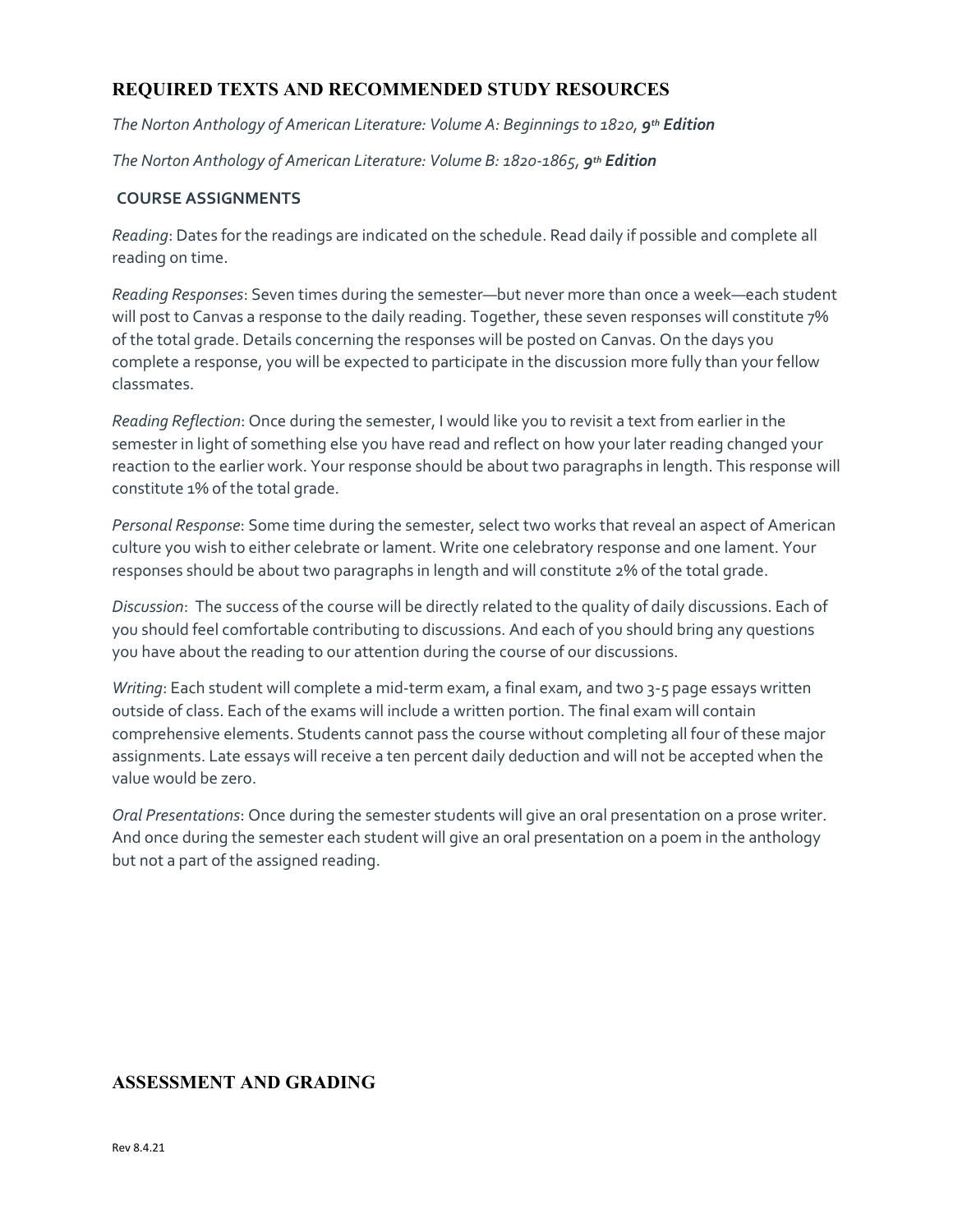# **REQUIRED TEXTS AND RECOMMENDED STUDY RESOURCES**

*The Norton Anthology of American Literature: Volume A: Beginnings to 1820, 9th Edition*

*The Norton Anthology of American Literature: Volume B: 1820-1865, 9th Edition*

#### **COURSE ASSIGNMENTS**

*Reading*: Dates for the readings are indicated on the schedule. Read daily if possible and complete all reading on time.

*Reading Responses*: Seven times during the semester—but never more than once a week—each student will post to Canvas a response to the daily reading. Together, these seven responses will constitute 7% of the total grade. Details concerning the responses will be posted on Canvas. On the days you complete a response, you will be expected to participate in the discussion more fully than your fellow classmates.

*Reading Reflection*: Once during the semester, I would like you to revisit a text from earlier in the semester in light of something else you have read and reflect on how your later reading changed your reaction to the earlier work. Your response should be about two paragraphs in length. This response will constitute 1% of the total grade.

*Personal Response*: Some time during the semester, select two works that reveal an aspect of American culture you wish to either celebrate or lament. Write one celebratory response and one lament. Your responses should be about two paragraphs in length and will constitute 2% of the total grade.

*Discussion*: The success of the course will be directly related to the quality of daily discussions. Each of you should feel comfortable contributing to discussions. And each of you should bring any questions you have about the reading to our attention during the course of our discussions.

*Writing*: Each student will complete a mid-term exam, a final exam, and two 3-5 page essays written outside of class. Each of the exams will include a written portion. The final exam will contain comprehensive elements. Students cannot pass the course without completing all four of these major assignments. Late essays will receive a ten percent daily deduction and will not be accepted when the value would be zero.

*Oral Presentations*: Once during the semester students will give an oral presentation on a prose writer. And once during the semester each student will give an oral presentation on a poem in the anthology but not a part of the assigned reading.

#### **ASSESSMENT AND GRADING**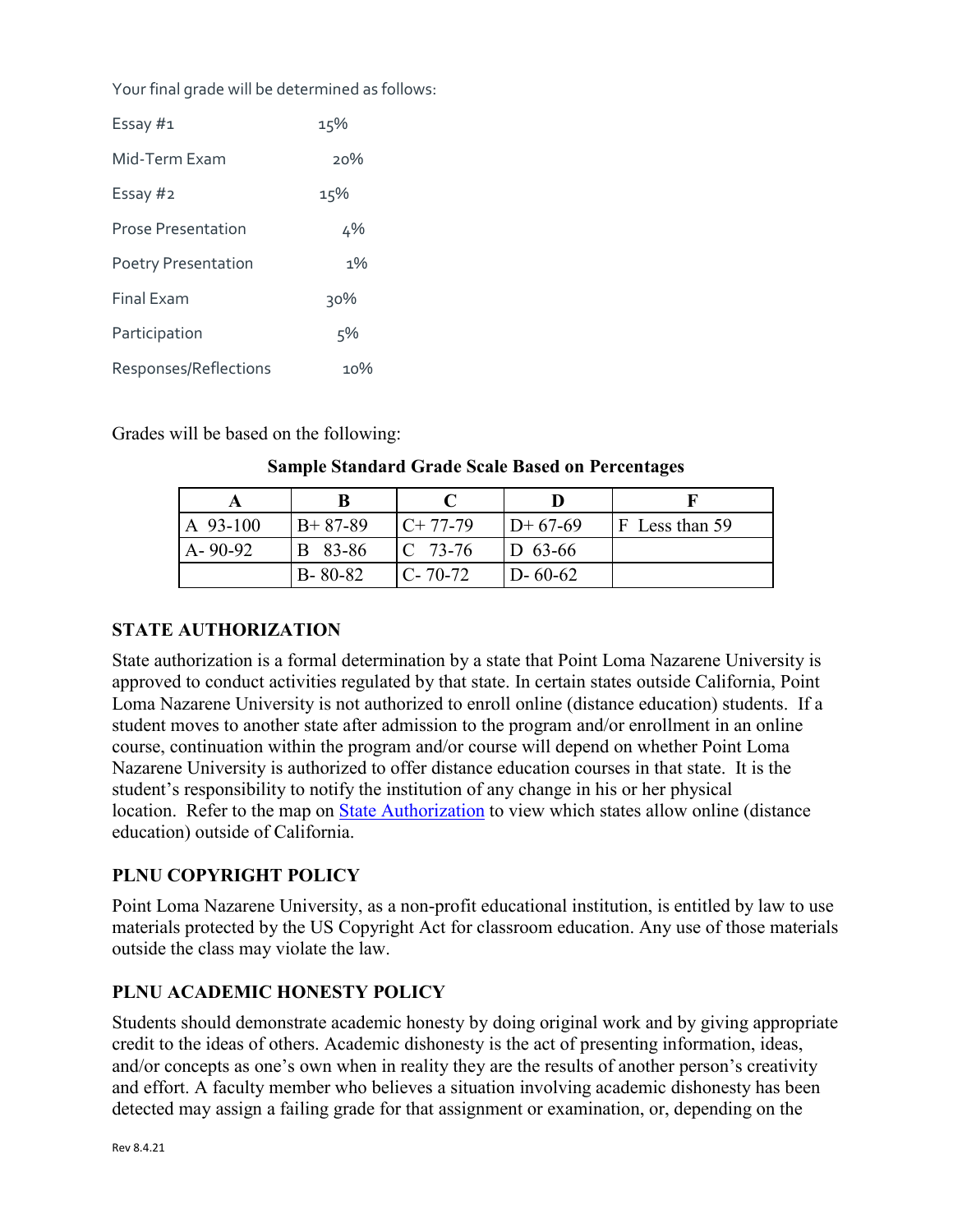Your final grade will be determined as follows:

| Essay #1                   | 15%    |
|----------------------------|--------|
| Mid-Term Exam              | 20%    |
| Essay #2                   | 15%    |
| Prose Presentation         | 4%     |
| <b>Poetry Presentation</b> | $1\%$  |
| <b>Final Exam</b>          | $30\%$ |
| Participation              | 5%     |
| Responses/Reflections      | 1ი%    |

Grades will be based on the following:

#### **Sample Standard Grade Scale Based on Percentages**

| $A$ 93-100    | $B+87-89$      | $C+77-79$      | $ID+67-69$    | $ F $ Less than 59 |
|---------------|----------------|----------------|---------------|--------------------|
| $A - 90 - 92$ | <b>B</b> 83-86 | $\rm{C}$ 73-76 | $ D 63-66 $   |                    |
|               | $B - 80 - 82$  | $C - 70 - 72$  | $D - 60 - 62$ |                    |

### **STATE AUTHORIZATION**

State authorization is a formal determination by a state that Point Loma Nazarene University is approved to conduct activities regulated by that state. In certain states outside California, Point Loma Nazarene University is not authorized to enroll online (distance education) students. If a student moves to another state after admission to the program and/or enrollment in an online course, continuation within the program and/or course will depend on whether Point Loma Nazarene University is authorized to offer distance education courses in that state. It is the student's responsibility to notify the institution of any change in his or her physical location. Refer to the map on [State Authorization](https://www.pointloma.edu/offices/office-institutional-effectiveness-research/disclosures) to view which states allow online (distance education) outside of California.

### **PLNU COPYRIGHT POLICY**

Point Loma Nazarene University, as a non-profit educational institution, is entitled by law to use materials protected by the US Copyright Act for classroom education. Any use of those materials outside the class may violate the law.

# **PLNU ACADEMIC HONESTY POLICY**

Students should demonstrate academic honesty by doing original work and by giving appropriate credit to the ideas of others. Academic dishonesty is the act of presenting information, ideas, and/or concepts as one's own when in reality they are the results of another person's creativity and effort. A faculty member who believes a situation involving academic dishonesty has been detected may assign a failing grade for that assignment or examination, or, depending on the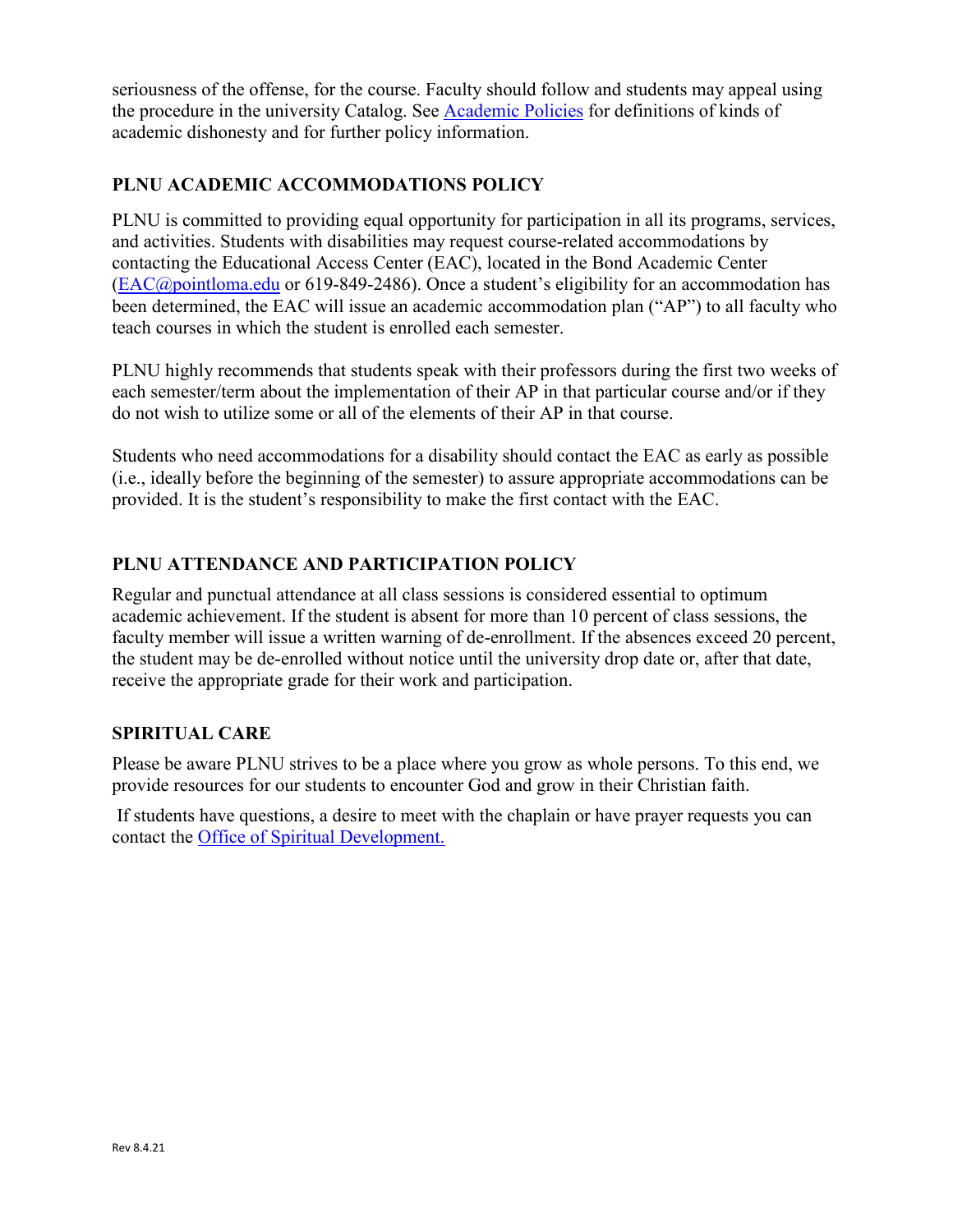seriousness of the offense, for the course. Faculty should follow and students may appeal using the procedure in the university Catalog. See [Academic Policies](https://catalog.pointloma.edu/content.php?catoid=52&navoid=2919#Academic_Honesty) for definitions of kinds of academic dishonesty and for further policy information.

# **PLNU ACADEMIC ACCOMMODATIONS POLICY**

PLNU is committed to providing equal opportunity for participation in all its programs, services, and activities. Students with disabilities may request course-related accommodations by contacting the Educational Access Center (EAC), located in the Bond Academic Center [\(EAC@pointloma.edu](mailto:EAC@pointloma.edu) or 619-849-2486). Once a student's eligibility for an accommodation has been determined, the EAC will issue an academic accommodation plan ("AP") to all faculty who teach courses in which the student is enrolled each semester.

PLNU highly recommends that students speak with their professors during the first two weeks of each semester/term about the implementation of their AP in that particular course and/or if they do not wish to utilize some or all of the elements of their AP in that course.

Students who need accommodations for a disability should contact the EAC as early as possible (i.e., ideally before the beginning of the semester) to assure appropriate accommodations can be provided. It is the student's responsibility to make the first contact with the EAC.

# **PLNU ATTENDANCE AND PARTICIPATION POLICY**

Regular and punctual attendance at all class sessions is considered essential to optimum academic achievement. If the student is absent for more than 10 percent of class sessions, the faculty member will issue a written warning of de-enrollment. If the absences exceed 20 percent, the student may be de-enrolled without notice until the university drop date or, after that date, receive the appropriate grade for their work and participation.

#### **SPIRITUAL CARE**

Please be aware PLNU strives to be a place where you grow as whole persons. To this end, we provide resources for our students to encounter God and grow in their Christian faith.

If students have questions, a desire to meet with the chaplain or have prayer requests you can contact the Office of Spiritual Development.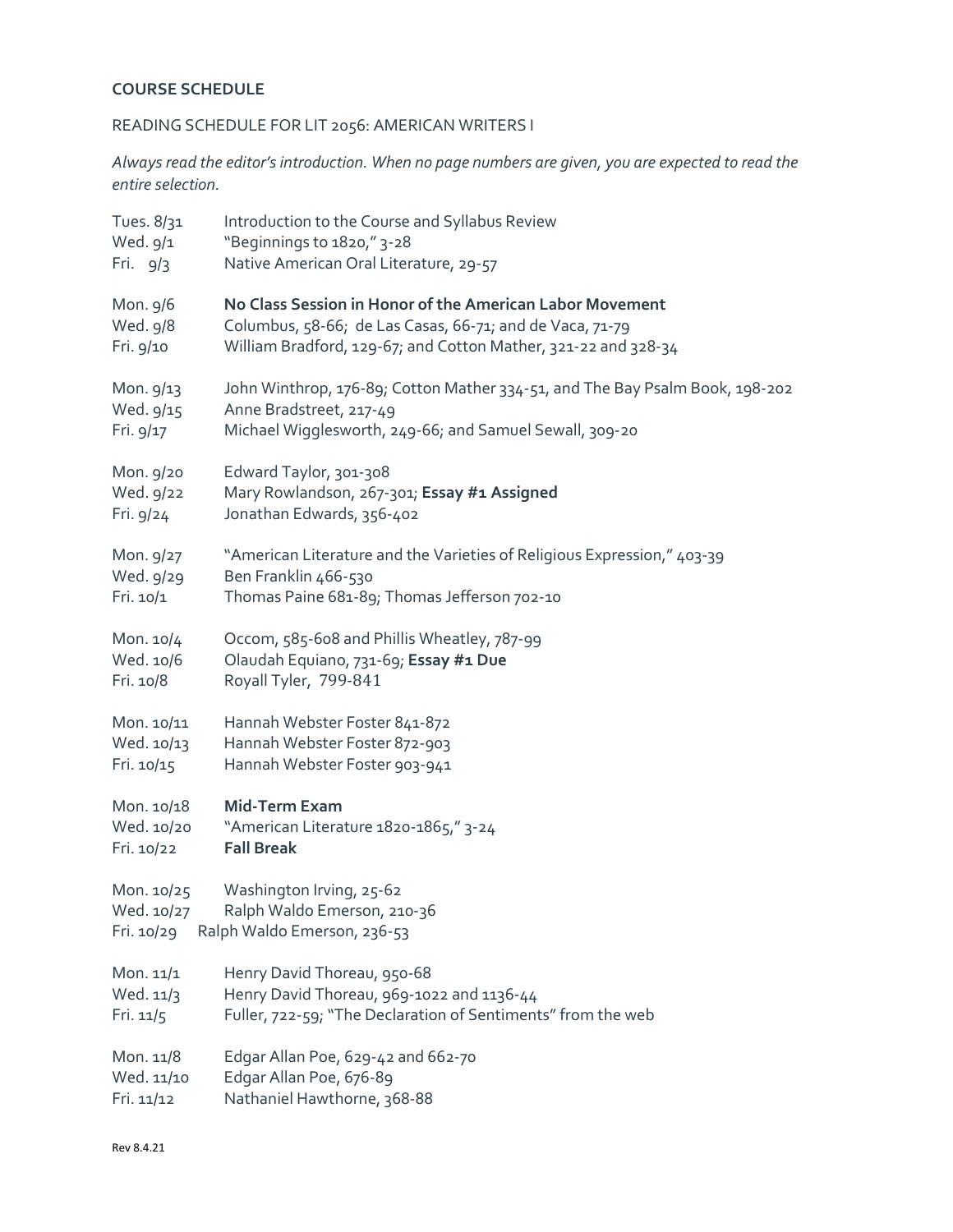# **COURSE SCHEDULE**

# READING SCHEDULE FOR LIT 2056: AMERICAN WRITERS I

*Always read the editor's introduction. When no page numbers are given, you are expected to read the entire selection.*

| Tues. 8/31 | Introduction to the Course and Syllabus Review                               |
|------------|------------------------------------------------------------------------------|
| Wed. 9/1   | "Beginnings to 1820," 3-28                                                   |
| Fri. $9/3$ | Native American Oral Literature, 29-57                                       |
| Mon. 9/6   | No Class Session in Honor of the American Labor Movement                     |
| Wed. 9/8   | Columbus, 58-66; de Las Casas, 66-71; and de Vaca, 71-79                     |
| Fri. 9/10  | William Bradford, 129-67; and Cotton Mather, 321-22 and 328-34               |
| Mon. 9/13  | John Winthrop, 176-89; Cotton Mather 334-51, and The Bay Psalm Book, 198-202 |
| Wed. 9/15  | Anne Bradstreet, 217-49                                                      |
| Fri. 9/17  | Michael Wigglesworth, 249-66; and Samuel Sewall, 309-20                      |
| Mon. 9/20  | Edward Taylor, 301-308                                                       |
| Wed. 9/22  | Mary Rowlandson, 267-301; Essay #1 Assigned                                  |
| Fri. 9/24  | Jonathan Edwards, 356-402                                                    |
| Mon. 9/27  | "American Literature and the Varieties of Religious Expression," 403-39      |
| Wed. 9/29  | Ben Franklin 466-530                                                         |
| Fri. 10/1  | Thomas Paine 681-89; Thomas Jefferson 702-10                                 |
| Mon. 10/4  | Occom, 585-608 and Phillis Wheatley, 787-99                                  |
| Wed. 10/6  | Olaudah Equiano, 731-69; Essay #1 Due                                        |
| Fri. 10/8  | Royall Tyler, 799-841                                                        |
| Mon. 10/11 | Hannah Webster Foster 841-872                                                |
| Wed. 10/13 | Hannah Webster Foster 872-903                                                |
| Fri. 10/15 | Hannah Webster Foster 903-941                                                |
| Mon. 10/18 | <b>Mid-Term Exam</b>                                                         |
| Wed. 10/20 | "American Literature 1820-1865," 3-24                                        |
| Fri. 10/22 | <b>Fall Break</b>                                                            |
| Mon. 10/25 | Washington Irving, 25-62                                                     |
| Wed. 10/27 | Ralph Waldo Emerson, 210-36                                                  |
| Fri. 10/29 | Ralph Waldo Emerson, 236-53                                                  |
| Mon. 11/1  | Henry David Thoreau, 950-68                                                  |
| Wed. 11/3  | Henry David Thoreau, 969-1022 and 1136-44                                    |
| Fri. 11/5  | Fuller, 722-59; "The Declaration of Sentiments" from the web                 |
| Mon. 11/8  | Edgar Allan Poe, 629-42 and 662-70                                           |
| Wed. 11/10 | Edgar Allan Poe, 676-89                                                      |
| Fri. 11/12 | Nathaniel Hawthorne, 368-88                                                  |